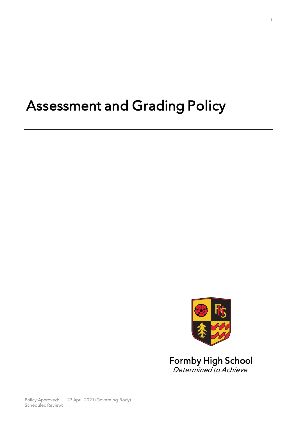# Assessment and Grading Policy



Determined to Achieve

Policy Approved: 27 April 2021 (Governing Body)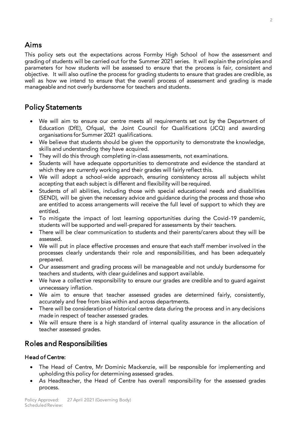Aims<br>This policy sets out the expectations across Formby High School of how the assessment and grading of students will be carried out for the Summer 2021 series. It will explain the principles and parameters for how students will be assessed to ensure that the process is fair, consistent and objective. It will also outline the process for grading students to ensure that grades are credible, as well as how we intend to ensure that the overall process of assessment and grading is made manageable and not overly burdensome for teachers and students.  $\mathcal{L}_{\mathcal{A}}$ 

# Policy Statements

- We will aim to ensure our centre meets all requirements set out by the Department of Education (DfE), Ofqual, the Joint Council for Qualifications (JCQ) and awarding organisations for Summer 2021 qualifications.
- We believe that students should be given the opportunity to demonstrate the knowledge, skills and understanding they have acquired
- They will do this through completing in-class assessments, not examinations.<br>• Students will have adequate opportunities to demonstrate and evidence to
- Students will have adequate opportunities to demonstrate and evidence the standard at which they are currently working and their grades will fairly reflect this.
- We will adopt a school-wide approach, ensuring consistency across all subjects whilst accepting that each subject is different and flexibility will be required
- Students of all abilities, including those with special educational needs and disabilities.<br>  $(SEND)$  will be given the necessary advice and guidance during the process and those who (SEND), will be given the necessary advice and guidance during the process and those who are entitled to access arrangements will receive the full level of support to which they are antitled to access arrangements will receive the full level of support to which they are to which they are to w<br>Annual level of support to which they are to which they are to which they are to which they are to which they
- To mitigate the impact of lost learning opportunities during the Covid-19 pandemic,<br>students will be supported and well-prepared for assessments by their teachers
- There will be clear communication to students and their parents/carers about they will be assessed
- We will put in place effective processes and ensure that each staff member involved in the<br>processes clearly understands their role and responsibilities, and has been adequately processes clearly understands their role and responsibilities, and has been adequately
- Our assessment and grading process will be manageable and not unduly burdensome for<br>teachers and students, with clear quidelines and support available
- We have a collective responsibility to ensure our grades are credible and to guard against<br>unnecessary inflation
- We aim to ensure that teacher assessed grades are determined fairly, consistently,  $\frac{1}{2}$
- There will be consideration of historical centre data during the process and in any decisions made in respect of teacher assessed grades
- We will ensure there is a high standard of internal quality assurance in the allocation of teacher assessed grades. teacher assessed grades.

#### í Roles and Responsibilities

## Head of Centre:

- The Head of Centre, Mr Dominic Mackenzie, will be responsible for implementing and upholding this policy for determining assessed grades.
- As Headteacher, the Head of Centre has overall responsibility for the assessed grades process.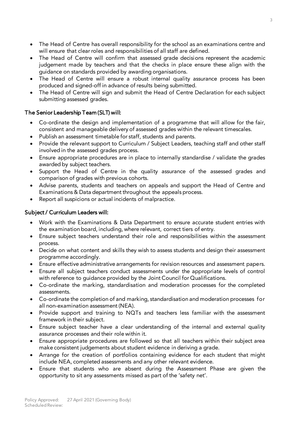- The Head of Centre has overall responsibility for the school as an examinations centre and will ensure that clear roles and responsibilities of all staff are defined.
- The Head of Centre will confirm that assessed grade decisions represent the academic<br>indoement made by teachers and that the checks in place ensure these align with the judgement made by teachers and that the checks in place ensure these align with the guidance on standards provided by awarding organisations.
- The Head of Centre will ensure a robust internal quality assurance process has been<br>produced and signed-off in advance of results being submitted
- The Head of Centre will sign and submit the Head of Centre Declaration for each subject<br>submitting assessed grades submitting assessed grades.

#### The Senior Leadership Team (SLT) will:

- $T_{\rm eff}$  and  $T_{\rm eff}$  and  $T_{\rm eff}$  will: • Co-ordinate the design and implementation of a programme that will allow for the fair,<br>consistent and manageable delivery of assessed grades within the relevant timescales
	- Publish an assessment timetable for staff, students and parents.<br>• Provide the relevant support to Curriculum / Subject Leaders, teaching staff and other
	- Provide the relevant support to Curriculum / Subject Leaders, teaching staff and other staff involved in the assessed grades process.
	- Ensure appropriate procedures are in place to internally standardise / validate the grades<br>awarded by subject teachers
	- Support the Head of Centre in the quality assurance of the assessed grades and comparison of grades with previous cohorts
	- Advise parents, students and teachers on appeals and support the Head of Centre and Examinations & Data department throughout the appeals process
	- Report all suspicions or actual incidents of malpractice.

## Subject / Curriculum Leaders will:

- Work with the Examinations & Data Department to ensure accurate student entries with the examination board, including, where relevant, correct tiers of entry.
- Ensure subject teachers understand their role and responsibilities within the assessment<br>process
- Decide on what content and skills they wish to assess students and design their assessment<br>programme accordingly
- Ensure effective administrative arrangements for revision resources and assessment papers.<br>• Ensure all subject teachers conduct assessments under the appropriate levels of control
- Ensure all subject teachers conduct assessments under the appropriate levels of control with reference to guidance provided by the Joint Council for Qualifications.
- Co-ordinate the marking, standardisation and moderation processes for the completed assessments
- Co-ordinate the completion of and marking, standardisation and moderation processes for<br>all non-examination assessment (NFA)
- Provide support and training to NQTs and teachers less familiar with the assessment framework in their subject
- Ensure subject teacher have a clear understanding of the internal and external quality<br>assurance processes and their role within it
- Ensure appropriate procedures are followed so that all teachers within their subject area<br>make consistent judgements about student evidence in deriving a grade
- Arrange for the creation of portfolios containing evidence for each student that might<br>include NFA completed assessments and any other relevant evidence
- Ensure that students who are absent during the Assessment Phase are given the connectunity to sit any assessments missed as part of the 'safety net'  $\alpha$  specific and  $\alpha$  and  $\alpha$  as a part of the 'safety net'.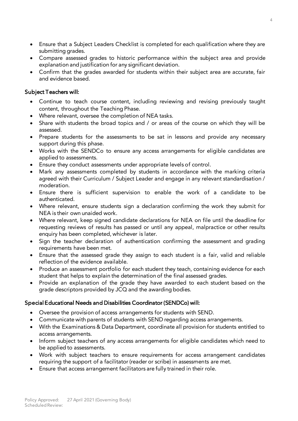- Ensure that a Subject Leaders Checklist is completed for each qualification where they are
- Compare assessed grades to historic performance within the subject area and provide explanation and justification for any significant deviation
- Confirm that the grades awarded for students within their subject area are accurate, fair and evidence based

- Subject Teachers will: • Continue to teach course content, including reviewing and revising previously taught<br>content throughout the Teaching Phase
	- Where relevant, oversee the completion of NEA tasks.
	- Share with students the broad topics and / or areas of the course on which they will be assessed.
	- Prepare students for the assessments to be sat in lessons and provide any necessary<br>support during this phase
	- Works with the SENDCo to ensure any access arrangements for eligible candidates are<br>applied to assessments
	- Ensure they conduct assessments under appropriate levels of control.
	- Mark any assessments completed by students in accordance with the marking criteria agreed with their Curriculum / Subject Leader and engage in any relevant standardisation / moderation.
	- Ensure there is sufficient supervision to enable the work of a candidate to be authenticated
	- Where relevant, ensure students sign a declaration confirming the work they submit for<br>NEA is their own unaided work
	- Where relevant, keep signed candidate declarations for NEA on file until the deadline for<br>requesting reviews of results has passed or until any appeal, malpractice or other results requesting reviews of results has passed or until any appeal, malpractice or other results enquiry has been completed, whichever is later.
	- Sign the teacher declaration of authentication confirming the assessment and grading<br>requirements have been met
	- Ensure that the assessed grade they assign to each student is a fair, valid and reliable reflection of the evidence available
	- Produce an assessment portfolio for each student they teach, containing evidence for each student that helps to explain the determination of the final assessed grades
	- Provide an explanation of the grade they have awarded to each student based on the grade descriptors provided by ICO and the awarding bodies. grade descriptors provided by JCQ and the awarding bodies.

## Special Educational Needs and Disabilities Coordinator (SENDCo) will:

- Oversee the provision of access arrangements for students with SEND.<br>• Communicate with parents of students with SEND regarding access arr
- Communicate with parents of students with SEND regarding access arrangements.
- With the Examinations & Data Department, coordinate all provision for students entitled to
- Inform subject teachers of any access arrangements for eligible candidates which need to be applied to assessments
- Work with subject teachers to ensure requirements for access arrangement candidates requiring the support of a facilitator (reader or scribe) in assessments are met
- Ensure that access arrangement facilitators are fully trained in their role.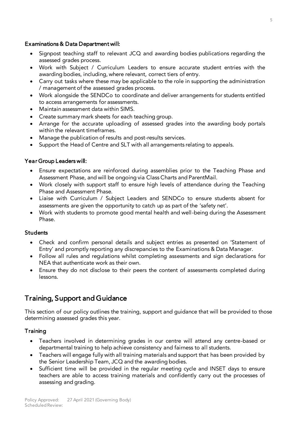- Examinations & Data Department will:  $\bullet$  Signpost teaching staff to relevant JCQ and awarding bodies publications regarding the assessed grades process
	- Work with Subject / Curriculum Leaders to ensure accurate student entries with the<br>awarding bodies including where relevant correct tiers of entry
	- Carry out tasks where these may be applicable to the role in supporting the administration  $\ell$  management of the assessed grades process
	- Work alongside the SENDCo to coordinate and deliver arrangements for students entitled to access arrangements for assessments
	- Maintain assessment data within SIMS.<br>• Create summary mark sheets for each to
	- Create summary mark sheets for each teaching group.
	- Arrange for the accurate uploading of assessed grades into the awarding body portals within the relevant timeframes.
	- Manage the publication of results and post-results services.<br>• Support the Head of Centre and SLT with all arrangements
	- Support the Head of Centre and SLT with all arrangements relating to appeals.

#### Year Group Leaders will:

- Year Group Leaders will: • Ensure expectations are reinforced during assemblies prior to the Teaching Phase and<br>Assessment Phase and will be ongoing via Class Charts and ParentMail
	- Work closely with support staff to ensure high levels of attendance during the Teaching.<br>Phase and Assessment Phase.
	- Liaise with Curriculum / Subject Leaders and SENDCo to ensure students absent for<br>assessments are given the opportunity to catch up as part of the 'safety net'
	- Work with students to promote good mental health and well-being during the Assessment<br>Phase Phase.

#### **Students** Students

- Check and confirm personal details and subject entries as presented on 'Statement of Entry' and promptly reporting any discrepancies to the Examinations & Data Manager.
- Follow all rules and regulations whilst completing assessments and sign declarations for<br>NEA that authenticate work as their own
- Ensure they do not disclose to their peers the content of assessments completed during<br>lessons lessons.

# $T_{\rm eff}$  support and Guidance

 $T$  of  $T$  and  $T$  outlines the training, support and guidance that will be provided to the provided to those that will be provided to those that will be provided to the provided to those that will be provided to the prov determining assessed grades this year.

#### Training Training

- Teachers involved in determining grades in our centre will attend any centre-based or departmental training to help achieve consistency and fairness to all students.
- Teachers will engage fully with all training materials and support that has been provided by the Senior Leadership Team.  $\text{ICO}$  and the awarding bodies
- Sufficient time will be provided in the regular meeting cycle and INSET days to ensure  $\frac{1}{2}$  the accession and confidently carry out that  $\frac{1}{2}$  can reconfidently carry out the processes of  $\frac{1}{2}$ assessing and grading.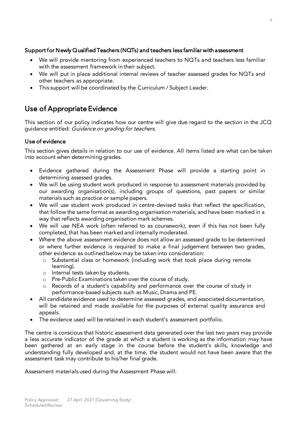- Support for Newly Qualified Teachers (NQTs) and teachers less familiar with assessment • We will provide mentoring from experienced teachers to NQTs and teachers less familiar with the assessment framework in their subject
	- We will put in place additional internal reviews of teacher assessed grades for NQTs and other teachers as appropriate
	- This support will be coordinated by the Curriculum / Subject Leader.

#### Use of Appropriate Evidence Use of Appropriate Evidence

guidance entitled: Guidance on grading for teachers.

#### Use of evidence

This section gives details in relation to our use of evidence. All items listed are what can be taken into account when determining grades. into account when determining grades.

- Evidence gathered during the Assessment Phase will provide a starting point in
- We will be using student work produced in response to assessment materials provided by<br>Our awarding organisation(s) including groups of questions, past papers or similar our awarding organisation(s), including groups of questions, past papers or similar materials such as practice or sample papers.
- We will use student work produced in centre-devised tasks that reflect the specification,<br>that follow the same format as awarding organisation materials, and have been marked in a that follow the same format as awarding organisation materials, and have been marked in a way that reflects awarding organisation mark schemes.
- We will use NEA work (often referred to as coursework), even if this has not been fully completed that has been marked and internally moderated
- Where the above assessment evidence does not allow an assessed grade to be determined<br>or where further evidence is required to make a final judgement between two grades or where further evidence is required to make a final judgement between two grades, other evidence as outlined below may be taken into consideration:
	- o Substantial class or homework (including work that took place during remote learning)
		- o Internal tests taken by students.<br>○ Pre-Public Examinations taken o
		- <sup>o</sup> Pre-Public Examinations taken over the course of study.
		- o Records of a student's capability and performance over the course of study in performance-based subjects such as Music, Drama and PE.
- All candidate evidence used to determine assessed grades, and associated documentation,<br>will be retained and made available for the nurposes of external quality assurance and will be retained and made available for the purposes of external quality assurance and  $\mathcal{L}$
- The evidence used will be retained in each student's assessment portfolio.

The centre is conscious that historic assessment data generated over the last two years may provide a less accurate indicator of the grade at which a student is working as the information may have been gathered at an early stage in the course before the student's skills, knowledge and understanding fully developed and, at the time, the student would not have been aware that the assessment task may contribute to his/her final grade. assessment task may contribute to his/her final grade.

 $\mathcal{A}$ s used during the Assessment Phase will: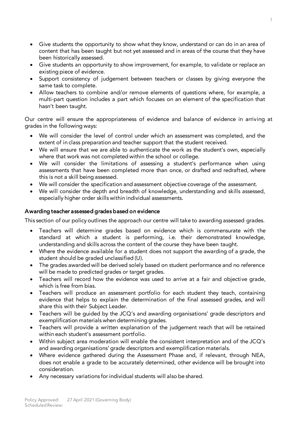- Give students the opportunity to show what they know, understand or can do in an area of content that has been taught but not yet assessed and in areas of the course that they have been historically assessed.
- Give students an opportunity to show improvement, for example, to validate or replace an existing piece of evidence
- Support consistency of judgement between teachers or classes by giving everyone the<br>same task to complete
- Allow teachers to combine and/or remove elements of questions where, for example, a<br>multi-part question includes a part which focuses on an element of the specification that multi-part question includes a part which focuses on an element of the specification that hasn't been taught.

Our centre will ensure the appropriateness of evidence and balance of evidence in arriving at grades in the following ways:

- grades in the following ways: • We will consider the level of control under which an assessment was completed, and the extent of inclass preparation and teacher support that the student received
	- We will ensure that we are able to authenticate the work as the student's own, especially where that work was not completed within the school or college.
	- We will consider the limitations of assessing a student's performance when using<br>assessments that have been completed more than once or drafted and redrafted where assessments that have been completed more than once, or drafted and redrafted, where this is not a skill being assessed.
	- We will consider the specification and assessment objective coverage of the assessment.<br>• We will consider the depth and breadth of knowledge, understanding and skills assess
	- We will consider the depth and breadth of knowledge, understanding and skills assessed, especially higher order skills within individual assessments. especially higher order skills within individual assessments.

Awarding teacher assessed grades based on evidence This section of our policy outlines the approach our centre will take to awarding assessed grades.

- Teachers will determine grades based on evidence which is commensurate with the standard at which a student is performing, i.e. their demonstrated knowledge, understanding and skills across the content of the course they have been taught.
- Where the evidence available for a student does not support the awarding of a grade, the student should be graded unclassified  $(11)$
- The grades awarded will be derived solely based on student performance and no reference<br>will be made to predicted grades or target grades
- Teachers will record how the evidence was used to arrive at a fair and objective grade,<br>which is free from bias
- Teachers will produce an assessment portfolio for each student they teach, containing<br>evidence that helps to explain the determination of the final assessed grades and will evidence that helps to explain the determination of the final assessed grades, and will share this with their Subject Leader.
- Teachers will be guided by the JCQ's and awarding organisations' grade descriptors and exemplification materials when determining grades
- Teachers will provide a written explanation of the judgement reach that will be retained within each student's assessment portfolio
- Within subject area moderation will enable the consistent interpretation and of the JCQ's and awarding organisations' grade descriptors and exemplification materials
- Where evidence gathered during the Assessment Phase and, if relevant, through NEA,<br>does not enable a grade to be accurately determined, other evidence will be brought into does not enable a grade to be accurately determined, other evidence will be brought into
- Any necessary variations for individual students will also be shared.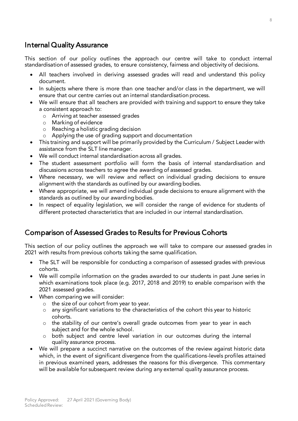### Internal Quality Assurance

This section of our policy outlines the approach our centre will take to conduct internal standardisation of assessed grades, to ensure consistency, fairness and objectivity of decisions.

- standardisation of assessed grades, to ensure consistency, fairness and objectivity of decisions. All teachers involved in deriving assessed grades will read and understand this policy
	- In subjects where there is more than one teacher and/or class in the department, we will ensure that our centre carries out an internal standardisation process
	- We will ensure that all teachers are provided with training and support to ensure they take<br>a consistent annoach to:
		- o Arriving at teacher assessed grades
			- Marking of evidence<br>○ Reaching a holistic g
			- o Aeaching a holistic grading decision<br>o Applying the use of grading suppor
			- <sup>o</sup> Applying the use of grading support and documentation
	- This training and support will be primarily provided by the Curriculum / Subject Leader with assistance from the SLT line manager.
	- We will conduct internal standardisation across all grades.<br>• The student assessment portfolio will form the basis
	- The student assessment portfolio will form the basis of internal standardisation and discussions across teachers to agree the awarding of assessed grades.
	- $\bullet$  Where necessary, we will review and reflect on individual grading decisions to ensure
	- $\bullet$  Where appropriate, we will amend individual grade decisions to ensure alignment with the standards as outlined by our awarding bodies.
	- In respect of equality legislation, we will consider the range of evidence for students of different protected characteristics that are included in our internal standardisation. different protected characteristics that are included in our internal standardisation.

#### **Comparison of Assessed Grades to Results for Previous Cohorts** Comparison of Assessed Grades to Results for Previous Cohorts

 $2021$  with results from previous cohorts taking the same qualification 2021 with results from previous cohorts taking the same qualification.

- The SLT will be responsible for conducting a comparison of assessed grades with previous
- We will compile information on the grades awarded to our students in past June series in<br>which examinations took place (e.g. 2017, 2018 and 2019) to enable comparison with the which examinations took place (e.g. 2017, 2018 and 2019) to enable comparison with the 2021 assessed grades.
- When comparing we will consider:<br>  $\frac{1}{2}$  the size of our cohort from ve
	- <sup>o</sup> the size of our cohort from year to year.
	- <sup>o</sup> any significant variations to the characteristics of the cohort this year to historic
	- o the stability of our centre's overall grade outcomes from year to year in each<br>subject and for the whole school
	- $\circ$  both subject and centre level variation in our outcomes during the internal quality assurance process
- We will prepare a succinct narrative on the outcomes of the review against historic data<br>which in the event of significant divergence from the qualifications levels profiles attained which, in the event of significant divergence from the qualifications-levels profiles attained<br>in previous examined years, addresses the reasons for this divergence. This commentary will be available for subsequent review during any external quality assurance process. will be available for subsequent review during any external quality assurance process.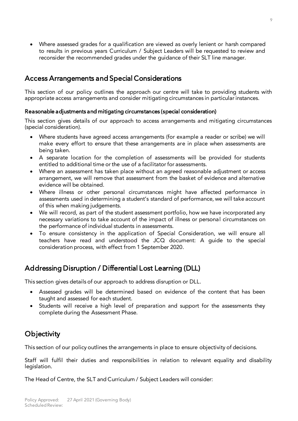• Where assessed grades for a qualification are viewed as overly lenient or harsh compared<br>to results in previous years Curriculum / Subject Leaders will be requested to review and reconsider the recommended grades under the quidance of their SLT line manager. reconsider the recommended grades under the guidance of their SLT line manager.

#### $\overline{a}$  $\mathcal{A}$  arrangements and Special Considerations and Special Considerations and Special Considerations and Special Considerations and Special Constantinoptic Constantinoptic Constantinoptic Constantinoptic Constantinoptic

This section of our policy outlines the approach our centre will take to providing students with appropriate access arrangements and consider mitigating circumstances in particular instances. appropriate access arrangements and consider mitigating circumstances in particular instances.

#### Reasonable adjustments and mitigating circumstances (special consideration)

This section gives details of our approach to access arrangements and mitigating circumstances (special consideration).

- (special consideration). Where students have agreed access arrangements (for example a reader or scribe) we will make every effort to ensure that these arrangements are in place when assessments are
	- A separate location for the completion of assessments will be provided for students entitled to additional time or the use of a facilitator for assessments
	- Where an assessment has taken place without an agreed reasonable adjustment or access<br>arrangement we will remove that assessment from the basket of evidence and alternative arrangement, we will remove that assessment from the basket of evidence and alternative
	- Where illness or other personal circumstances might have affected performance in<br>assessments used in determining a student's standard of performance we will take account assessments used in determining a student's standard of performance, we will take account of this when making judgements.
	- We will record, as part of the student assessment portfolio, how we have incorporated any necessary variations to take account of the impact of illness or personal circumstances on necessary variations to take account of the impact of illness or personal circumstances on the performance of individual students in assessments.
	- To ensure consistency in the application of Special Consid[eration, we will ensure all](https://www.jcq.org.uk/wp-content/uploads/2020/08/A-guide-to-the-spec-con-process-202021-Website-version.pdf) teachers have read and understood the ICO document: A quide to the special  $t_{\text{in}}$  one identition process with effect from 1 September 2020 consideration process, with effect from 1 September 2020. The september 2020. The september 2020. The septembe

### Addressing Disruption / Differential Lost Learning (DLL)

This section gives details of our approach to address disruption or DLL.

- Assessed grades will be determined based on evidence of the content that has been taught and assessed for each student.
- Students will receive a high level of preparation and support for the assessments they<br>complete during the Assessment Phase complete during the Assessment Phase.

### **Objectivity**

This section of our policy outlines the arrangements in place to ensure objectivity of decisions.

Staff will fulfil their duties and responsibilities in relation to relevant equality and disability legislation.

7 The Head of Centre, the SLT and Curriculum / Subject Leaders will consider: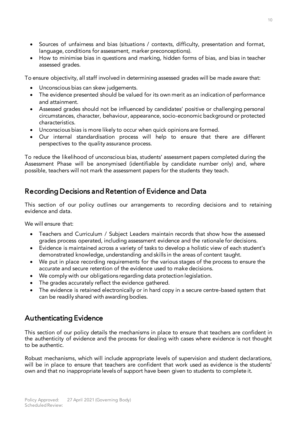- Sources of unfairness and bias (situations / contexts, difficulty, presentation and format, language, conditions for assessment, marker preconceptions).
- How to minimise bias in questions and marking, hidden forms of bias, and bias in teacher<br>assessed grades assessed grades.

To ensure objectivity, all staff involved in determining assessed grades will be made aware that:

- Unconscious bias can skew judgements.<br>• The evidence presented should be value
- The evidence presented should be valued for its own merit as an indication of performance
- Assessed grades should not be influenced by candidates' positive or challenging personal<br>circumstances character behaviour appearance socio-economic background or protected circumstances, character, behaviour, appearance, socio-economic background or protected
- Unconscious bias is more likely to occur when quick opinions are formed.<br>• Our internal standardisation process will help to ensure that the
- Our internal standardisation process will help to ensure that there are different perspectives to the quality assurance process.

To reduce the likelihood of unconscious bias, students' assessment papers completed during the<br>Assessment Phase will be anonymised (identifiable by candidate number only) and, where possible, teachers will not mark the assessment papers for the students they teach. possible, teachers will not mark the assessment papers for the students they teach.

#### í Recording Decisions and Retention of Evidence and Data

This section of our policy outlines our arrangements to recording decisions and to retaining evidence and data.

We will ensure that:

- Teachers and Curriculum / Subject Leaders maintain records that show how the assessed
- Evidence is maintained across a variety of tasks to develop a holistic view of each student's demonstrated knowledge understanding and skills in the areas of content taught
- $\bullet$  We put in place recording requirements for the various stages of the process to ensure the accurate and secure retention of the evidence used to make decisions.
- We comply with our obligations regarding data protection legislation.
- The grades accurately reflect the evidence gathered.<br>• The evidence is retained electronically or in hard con
- The evidence is retained electronically or in hard copy in a secure centre-based system that can be readily shared with awarding bodies.

### Authenticating Evidence

This section of our policy details the mechanisms in place to ensure that teachers are confident in  $\frac{1}{2}$  the authenticity of evidence and the process for dealing with cases where evidence is not thought the authenticity of evidence and the process for dealing with cases where evidence is not thought to be authentic.

Robust mechanisms, which will include appropriate levels of supervision and student declarations, will be in place to ensure that teachers are confident that work used as evidence is the students' will be in place to ensure that teachers are computed that work used as evidence is the students' own and that no inappropriate levels of support have been given to students to complete it.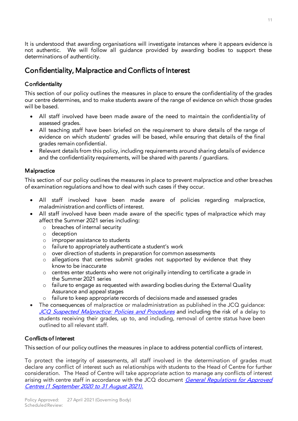It is understood that awarding organisations will investigate instances where it appears evidence is<br>not authentic. We will follow all guidance provided by awarding bodies to support these determinations of authenticity. determinations of authenticity.

### Confidentiality, Malpractice and Conflicts of Interest

#### Confidentiality

This section of our policy outlines the measures in place to ensure the confidentiality of the grades our centre determines, and to make students aware of the range of evidence on which those grades will be based.

- will be based. • All staff involved have been made aware of the need to maintain the confidentiality of assessed grades
	- I teaching staff have been briefed on the requirement to share details of the range of<br>evidence on which students' grades will be based, while ensuring that details of the final evidence on which students' grades will be based, while ensuring that details of the final
	- Relevant details from this policy, including requirements around sharing details of evidence<br>and the confidentiality requirements, will be shared with parents / quardians and the confidentiality requirements, will be shared with parents / guardians.

#### Malpractice

This section of our policy outlines the measures in place to prevent malpractice and other breaches of examination regulations and how to deal with such cases if they occur. of examination regulations and how to deal with such cases if they occur.

- All staff involved have been made aware of policies regarding malpractice, maladministration and conflicts of interest.
- All staff involved have been made aware of the specific types of malpractice which may affect the Summer 2021 series including:
	- $\frac{1}{\sqrt{2}}$  breaches of internal security
		- <sup>o</sup> deception
		- <sup>o</sup> improper assistance to students
		- <sup>o</sup> failure to appropriately authenticate a student's work
		- <sup>o</sup> over direction of students in preparation for common assessments
		- $\circ$  allegations that centres submit grades not supported by evidence that they<br>know to be inaccurate
		- o centres enter students who were not originally intending to certificate a grade in<br>the Summer 2021 series
		- o failure to engage as requested with awarding bodies during the External Quality<br>Assurance and appeal stages
		- o failure to keep appropriate records of decisions made and assessed grades
- The consequences of malpractice or maladministration as published in the JCQ guidance: [JCQ Suspected Malpractice: Policies and Procedures](https://www.jcq.org.uk/exams-office/malpractice/) and including the risk of a delay to<br>students receiving their grades, up to, and including, removal of centre status have been outlined to all relevant staff. outlined to all relevant staff.

#### Conflicts of Interest Communication of Interest

This section of our policy outlines the measures in place to address potential conflicts of interest.

To protect the integrity of assessments, all staff involved in the determination of grades must<br>declare any conflict of interest such as relationships with students to the Head of Centre for further consideration. The Head of Centre will take appropriate action to manage any conflicts of interest arising with centre staff in accordance with the JCQ document *General Regulations for Approved*<br>Centres (1 Sentember 2020 to 31 August 2021) [Centres \(1 September 2020 to 31 August 2021\)](https://www.jcq.org.uk/wp-content/uploads/2020/09/Gen_regs_approved_centres_20-21_FINAL.pdf).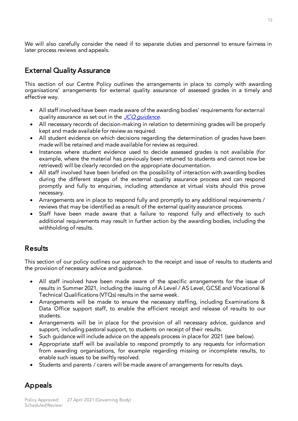We will also carefully consider the need if to separate duties and personnel to ensure fairness in later process reviews and appeals. later process reviews and appeals.

#### ï  $\mathcal{L}_{\mathcal{A}}$

This section of our Centre Policy outlines the arrangements in place to comply with awarding organisations' arrangements for external quality assurance of assessed grades in a timely and effective way. effective way.

- All staff involved have been made aware of the awarding bodies' requirements for external quality assurance as set out in the JCQ quidance.
- All necessary records of decision-making in relation to determining grades will be properly
- All student evidence on which decisions regarding the determination of grades have been<br>made will be retained and made available for review as required
- Instances where student evidence used to decide assessed grades is not available (for example where the material has previously been returned to students and cannot now be example, where the material has previously been returned to students and cannot now be retrieved) will be clearly recorded on the appropriate documentation.
- All staff involved have been briefed on the possibility of interaction with awarding bodies<br>during the different stages of the external quality assurance process and can respond during the different stages of the external quality assurance process and can respond<br>promptly and fully to enquiries, including attendance at virtual visits should this prove promptly and fully to enquiries, including attendance at visit should the should the visit should this prove
- Arrangements are in place to respond fully and promptly to any additional requirements /<br>reviews that may be identified as a result of the external quality assurance process
- Staff have been made aware that a failure to respond fully and effectively to such additional requirements may result in further action by the awarding bodies including the additional requirements may result in further action by the awarding bodies, including the with  $\mathbf{y}$  results.

#### **Results** Results

The provision of necessary advice and quidance the provision of necessary advice and guidance.

- All staff involved have been made aware of the specific arrangements for the issue of results in Summer 2021, including the issuing of A Level / AS Level, GCSE and Vocational & Technical Qualifications (VTQs) results in the same week.
- Arrangements will be made to ensure the necessary staffing, including Examinations &<br>Data Office support staff to enable the efficient receipt and release of results to our Data Office support staff, to enable the efficient receipt and release of results to our
- Arrangements will be in place for the provision of all necessary advice, guidance and<br>support including pastoral support to students on receipt of their results
- Such guidance will include advice on the appeals process in place for 2021 (see below).
- Appropriate staff will be available to respond promptly to any requests for information from awarding organisations, for example regarding missing or incomplete results, to enable such issues to be swiftly resolved.
- Students and parents / carers will be made aware of arrangements for results days.

### Appeals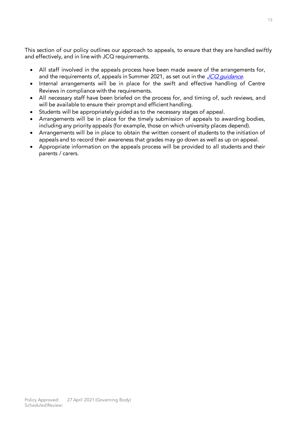This section of our policy outlines our approach to appeals, to ensure that they are handled swiftly and effectively, and in line with JCQ requirements. and effectively, and in line with  $\mathcal{L}^{\mathcal{L}}$ 

- All staff involved in the appeals process have been made aware of the arrangements for, and the requirements of, appeals in Summer 2021, as set out in the JCO quidance.
- Internal arrangements will be in place for the swift and effective handling of Centre Reviews in compliance with the requirements.
- All necessary staff have been briefed on the process for, and timing of, such reviews, and will be available to ensure their prompt and efficient bandling
- Students will be appropriately guided as to the necessary stages of appeal.<br>• Arrangements will be in place for the timely submission of appeals to a
- Arrangements will be in place for the timely submission of appeals to awarding bodies, including any priority appeals (for example, those on which university places depend).
- Arrangements will be in place to obtain the written consent of students to the initiation of anneals and to record their awareness that grades may go down as well as up on anneal
- Appropriate information on the appeals process will be provided to all students and their parents  $\sqrt{S}$ parents / carers.